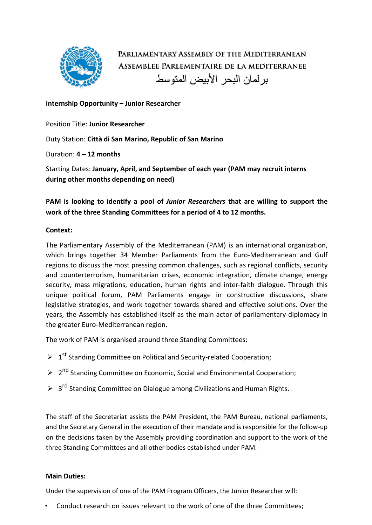

PARLIAMENTARY ASSEMBLY OF THE MEDITERRANEAN ASSEMBLEE PARLEMENTAIRE DE LA MEDITERRANEE بر لمان البحر الأبيض المتوسط

### **Internship Opportunity – Junior Researcher**

Position Title: **Junior Researcher**

Duty Station: **Città di San Marino, Republic of San Marino**

Duration: **4 – 12 months**

Starting Dates: **January, April, and September of each year (PAM may recruit interns during other months depending on need)**

**PAM is looking to identify a pool of** *Junior Researchers* **that are willing to support the work of the three Standing Committees for a period of 4 to 12 months.**

## **Context:**

The Parliamentary Assembly of the Mediterranean (PAM) is an international organization, which brings together 34 Member Parliaments from the Euro-Mediterranean and Gulf regions to discuss the most pressing common challenges, such as regional conflicts, security and counterterrorism, humanitarian crises, economic integration, climate change, energy security, mass migrations, education, human rights and inter-faith dialogue. Through this unique political forum, PAM Parliaments engage in constructive discussions, share legislative strategies, and work together towards shared and effective solutions. Over the years, the Assembly has established itself as the main actor of parliamentary diplomacy in the greater Euro-Mediterranean region.

The work of PAM is organised around three Standing Committees:

- $\triangleright$  1<sup>st</sup> Standing Committee on Political and Security-related Cooperation;
- **▶** 2<sup>nd</sup> Standing Committee on Economic, Social and Environmental Cooperation;
- $\triangleright$  3<sup>rd</sup> Standing Committee on Dialogue among Civilizations and Human Rights.

The staff of the Secretariat assists the PAM President, the PAM Bureau, national parliaments, and the Secretary General in the execution of their mandate and is responsible for the follow-up on the decisions taken by the Assembly providing coordination and support to the work of the three Standing Committees and all other bodies established under PAM.

## **Main Duties:**

Under the supervision of one of the PAM Program Officers, the Junior Researcher will:

• Conduct research on issues relevant to the work of one of the three Committees;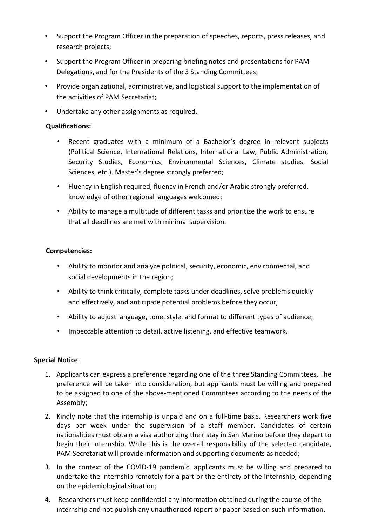- Support the Program Officer in the preparation of speeches, reports, press releases, and research projects;
- Support the Program Officer in preparing briefing notes and presentations for PAM Delegations, and for the Presidents of the 3 Standing Committees;
- Provide organizational, administrative, and logistical support to the implementation of the activities of PAM Secretariat;
- Undertake any other assignments as required.

## **Qualifications:**

- Recent graduates with a minimum of a Bachelor's degree in relevant subjects (Political Science, International Relations, International Law, Public Administration, Security Studies, Economics, Environmental Sciences, Climate studies, Social Sciences, etc.). Master's degree strongly preferred;
- Fluency in English required, fluency in French and/or Arabic strongly preferred, knowledge of other regional languages welcomed;
- Ability to manage a multitude of different tasks and prioritize the work to ensure that all deadlines are met with minimal supervision.

## **Competencies:**

- Ability to monitor and analyze political, security, economic, environmental, and social developments in the region;
- Ability to think critically, complete tasks under deadlines, solve problems quickly and effectively, and anticipate potential problems before they occur;
- Ability to adjust language, tone, style, and format to different types of audience;
- Impeccable attention to detail, active listening, and effective teamwork.

## **Special Notice**:

- 1. Applicants can express a preference regarding one of the three Standing Committees. The preference will be taken into consideration, but applicants must be willing and prepared to be assigned to one of the above-mentioned Committees according to the needs of the Assembly;
- 2. Kindly note that the internship is unpaid and on a full-time basis. Researchers work five days per week under the supervision of a staff member. Candidates of certain nationalities must obtain a visa authorizing their stay in San Marino before they depart to begin their internship. While this is the overall responsibility of the selected candidate, PAM Secretariat will provide information and supporting documents as needed;
- 3. In the context of the COVID-19 pandemic, applicants must be willing and prepared to undertake the internship remotely for a part or the entirety of the internship, depending on the epidemiological situation*;*
- 4. Researchers must keep confidential any information obtained during the course of the internship and not publish any unauthorized report or paper based on such information.